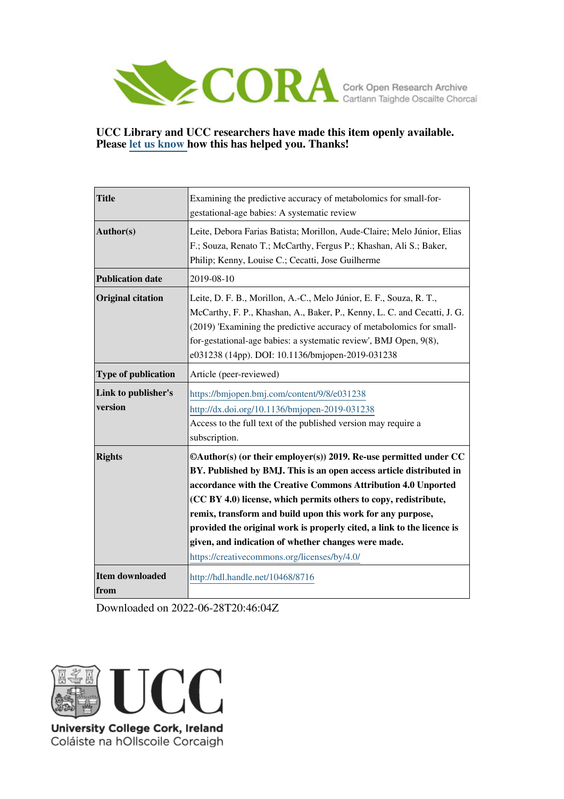

## **UCC Library and UCC researchers have made this item openly available. Please [let us know h](https://libguides.ucc.ie/openaccess/impact?suffix=8716&title=Examining the predictive accuracy of metabolomics for small-for-gestational-age babies: A systematic review)ow this has helped you. Thanks!**

| <b>Title</b>                   | Examining the predictive accuracy of metabolomics for small-for-<br>gestational-age babies: A systematic review                                                                                                                                                                                                                                                                                                                                                                                                                   |  |  |  |  |
|--------------------------------|-----------------------------------------------------------------------------------------------------------------------------------------------------------------------------------------------------------------------------------------------------------------------------------------------------------------------------------------------------------------------------------------------------------------------------------------------------------------------------------------------------------------------------------|--|--|--|--|
| Author(s)                      | Leite, Debora Farias Batista; Morillon, Aude-Claire; Melo Júnior, Elias<br>F.; Souza, Renato T.; McCarthy, Fergus P.; Khashan, Ali S.; Baker,<br>Philip; Kenny, Louise C.; Cecatti, Jose Guilherme                                                                                                                                                                                                                                                                                                                                |  |  |  |  |
| <b>Publication date</b>        | 2019-08-10                                                                                                                                                                                                                                                                                                                                                                                                                                                                                                                        |  |  |  |  |
| <b>Original citation</b>       | Leite, D. F. B., Morillon, A.-C., Melo Júnior, E. F., Souza, R. T.,<br>McCarthy, F. P., Khashan, A., Baker, P., Kenny, L. C. and Cecatti, J. G.<br>(2019) 'Examining the predictive accuracy of metabolomics for small-<br>for-gestational-age babies: a systematic review', BMJ Open, 9(8),<br>e031238 (14pp). DOI: 10.1136/bmjopen-2019-031238                                                                                                                                                                                  |  |  |  |  |
| Type of publication            | Article (peer-reviewed)                                                                                                                                                                                                                                                                                                                                                                                                                                                                                                           |  |  |  |  |
| Link to publisher's<br>version | https://bmjopen.bmj.com/content/9/8/e031238<br>http://dx.doi.org/10.1136/bmjopen-2019-031238<br>Access to the full text of the published version may require a<br>subscription.                                                                                                                                                                                                                                                                                                                                                   |  |  |  |  |
| <b>Rights</b>                  | $\mathbb{O}(x)$ (or their employer(s)) 2019. Re-use permitted under CC<br>BY. Published by BMJ. This is an open access article distributed in<br>accordance with the Creative Commons Attribution 4.0 Unported<br>(CC BY 4.0) license, which permits others to copy, redistribute,<br>remix, transform and build upon this work for any purpose,<br>provided the original work is properly cited, a link to the licence is<br>given, and indication of whether changes were made.<br>https://creativecommons.org/licenses/by/4.0/ |  |  |  |  |
| <b>Item downloaded</b><br>from | http://hdl.handle.net/10468/8716                                                                                                                                                                                                                                                                                                                                                                                                                                                                                                  |  |  |  |  |

Downloaded on 2022-06-28T20:46:04Z



Coláiste na hOllscoile Corcaigh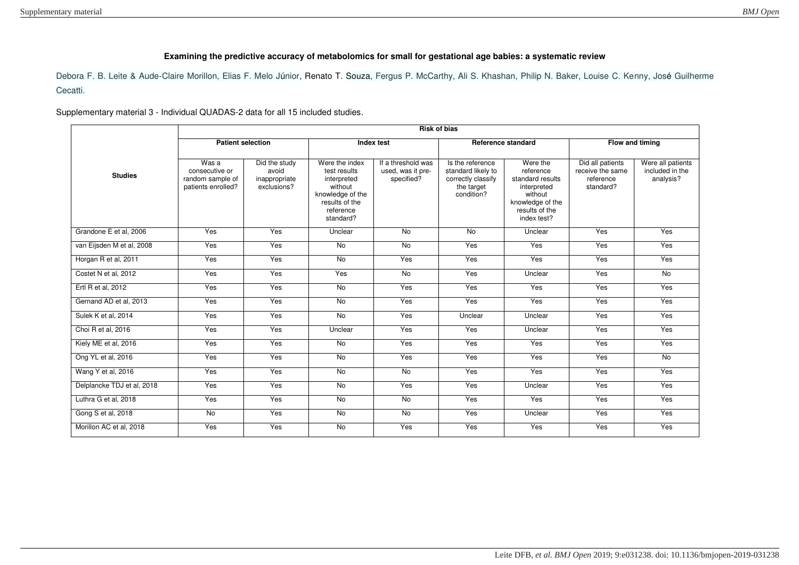## **Examining the predictive accuracy of metabolomics for small for gestational age babies: a systematic review**

Debora F. B. Leite & Aude-Claire Morillon, Elias F. Melo Júnior, Renato T. Souza, Fergus P. McCarthy, Ali S. Khashan, Philip N. Baker, Louise C. Kenny, José Guilherme Cecatti.

Supplementary material 3 - Individual QUADAS-2 data for all 15 included studies.

|                            | <b>Risk of bias</b>                                               |                                                        |                                                                                                                          |                                                       |                                                                                          |                                                                                                                          |                                                                |                                                   |
|----------------------------|-------------------------------------------------------------------|--------------------------------------------------------|--------------------------------------------------------------------------------------------------------------------------|-------------------------------------------------------|------------------------------------------------------------------------------------------|--------------------------------------------------------------------------------------------------------------------------|----------------------------------------------------------------|---------------------------------------------------|
|                            | <b>Patient selection</b>                                          |                                                        | Index test                                                                                                               |                                                       | Reference standard                                                                       |                                                                                                                          | Flow and timing                                                |                                                   |
| <b>Studies</b>             | Was a<br>consecutive or<br>random sample of<br>patients enrolled? | Did the study<br>avoid<br>inappropriate<br>exclusions? | Were the index<br>test results<br>interpreted<br>without<br>knowledge of the<br>results of the<br>reference<br>standard? | If a threshold was<br>used, was it pre-<br>specified? | Is the reference<br>standard likely to<br>correctly classify<br>the target<br>condition? | Were the<br>reference<br>standard results<br>interpreted<br>without<br>knowledge of the<br>results of the<br>index test? | Did all patients<br>receive the same<br>reference<br>standard? | Were all patients<br>included in the<br>analysis? |
| Grandone E et al, 2006     | Yes                                                               | Yes                                                    | Unclear                                                                                                                  | <b>No</b>                                             | <b>No</b>                                                                                | Unclear                                                                                                                  | Yes                                                            | Yes                                               |
| van Eijsden M et al, 2008  | Yes                                                               | Yes                                                    | $\overline{N}$                                                                                                           | $\overline{N}$                                        | Yes                                                                                      | Yes                                                                                                                      | Yes                                                            | Yes                                               |
| Horgan R et al, 2011       | Yes                                                               | Yes                                                    | $\overline{N}$                                                                                                           | Yes                                                   | Yes                                                                                      | Yes                                                                                                                      | Yes                                                            | Yes                                               |
| Costet N et al, 2012       | Yes                                                               | Yes                                                    | Yes                                                                                                                      | <b>No</b>                                             | Yes                                                                                      | Unclear                                                                                                                  | Yes                                                            | <b>No</b>                                         |
| Ertl R et al, 2012         | Yes                                                               | Yes                                                    | $\overline{N}$                                                                                                           | Yes                                                   | <b>Yes</b>                                                                               | Yes                                                                                                                      | Yes                                                            | Yes                                               |
| Gernand AD et al, 2013     | Yes                                                               | Yes                                                    | No                                                                                                                       | Yes                                                   | Yes                                                                                      | Yes                                                                                                                      | Yes                                                            | Yes                                               |
| Sulek K et al, 2014        | Yes                                                               | Yes                                                    | <b>No</b>                                                                                                                | Yes                                                   | Unclear                                                                                  | Unclear                                                                                                                  | Yes                                                            | Yes                                               |
| Choi R et al, 2016         | Yes                                                               | Yes                                                    | Unclear                                                                                                                  | Yes                                                   | Yes                                                                                      | Unclear                                                                                                                  | Yes                                                            | Yes                                               |
| Kiely ME et al, 2016       | Yes                                                               | Yes                                                    | No                                                                                                                       | Yes                                                   | Yes                                                                                      | Yes                                                                                                                      | Yes                                                            | Yes                                               |
| Ong YL et al, 2016         | Yes                                                               | Yes                                                    | $\overline{N}$                                                                                                           | Yes                                                   | Yes                                                                                      | Yes                                                                                                                      | Yes                                                            | $\overline{N}$                                    |
| Wang Y et al, 2016         | Yes                                                               | Yes                                                    | No                                                                                                                       | $\overline{N}$                                        | Yes                                                                                      | Yes                                                                                                                      | Yes                                                            | Yes                                               |
| Delplancke TDJ et al, 2018 | Yes                                                               | Yes                                                    | No                                                                                                                       | Yes                                                   | Yes                                                                                      | Unclear                                                                                                                  | Yes                                                            | Yes                                               |
| Luthra G et al, 2018       | Yes                                                               | Yes                                                    | No                                                                                                                       | $\overline{N}$                                        | Yes                                                                                      | Yes                                                                                                                      | Yes                                                            | Yes                                               |
| Gong S et al, 2018         | No                                                                | Yes                                                    | <b>No</b>                                                                                                                | <b>No</b>                                             | Yes                                                                                      | Unclear                                                                                                                  | Yes                                                            | Yes                                               |
| Morillon AC et al, 2018    | Yes                                                               | Yes                                                    | <b>No</b>                                                                                                                | Yes                                                   | Yes                                                                                      | Yes                                                                                                                      | Yes                                                            | Yes                                               |